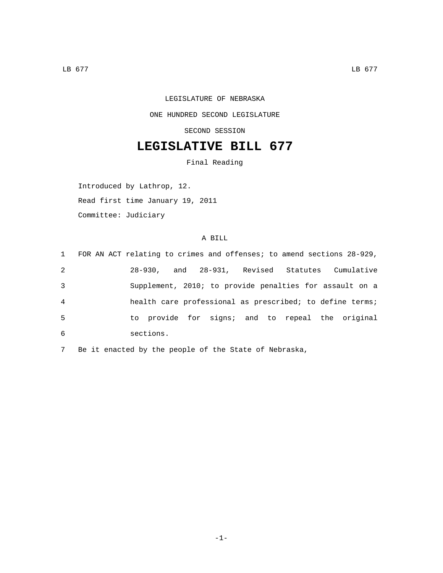## LEGISLATURE OF NEBRASKA ONE HUNDRED SECOND LEGISLATURE SECOND SESSION

## **LEGISLATIVE BILL 677**

Final Reading

Introduced by Lathrop, 12.

Read first time January 19, 2011

Committee: Judiciary

## A BILL

|   |           |  | 1 FOR AN ACT relating to crimes and offenses; to amend sections 28-929, |
|---|-----------|--|-------------------------------------------------------------------------|
| 2 |           |  | 28-930, and 28-931, Revised Statutes Cumulative                         |
| 3 |           |  | Supplement, 2010; to provide penalties for assault on a                 |
| 4 |           |  | health care professional as prescribed; to define terms;                |
| 5 |           |  | to provide for signs; and to repeal the original                        |
| 6 | sections. |  |                                                                         |

7 Be it enacted by the people of the State of Nebraska,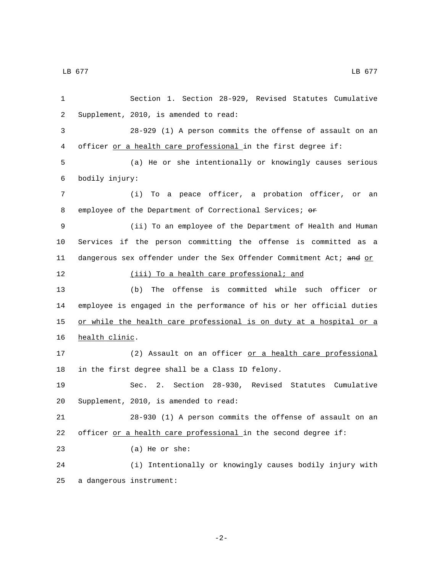1 Section 1. Section 28-929, Revised Statutes Cumulative 2 Supplement, 2010, is amended to read: 3 28-929 (1) A person commits the offense of assault on an 4 officer or a health care professional in the first degree if: 5 (a) He or she intentionally or knowingly causes serious bodily injury:6 7 (i) To a peace officer, a probation officer, or an 8 employee of the Department of Correctional Services; or 9 (ii) To an employee of the Department of Health and Human 10 Services if the person committing the offense is committed as a 11 dangerous sex offender under the Sex Offender Commitment Act; and or 12 (iii) To a health care professional; and 13 (b) The offense is committed while such officer or 14 employee is engaged in the performance of his or her official duties 15 or while the health care professional is on duty at a hospital or a 16 health clinic. 17 (2) Assault on an officer or a health care professional 18 in the first degree shall be a Class ID felony. 19 Sec. 2. Section 28-930, Revised Statutes Cumulative 20 Supplement, 2010, is amended to read: 21 28-930 (1) A person commits the offense of assault on an 22 officer or a health care professional in the second degree if: 23 (a) He or she: 24 (i) Intentionally or knowingly causes bodily injury with 25 a dangerous instrument: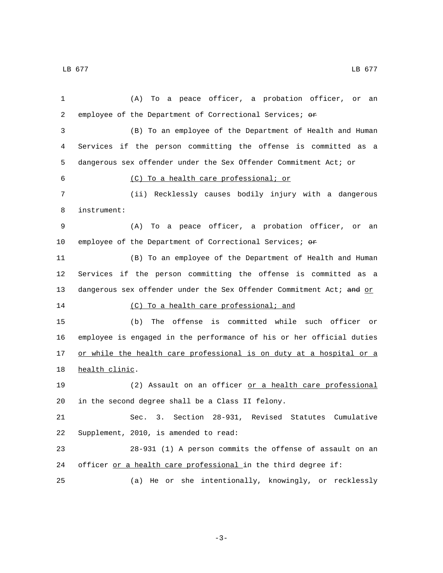1 (A) To a peace officer, a probation officer, or an 2 employee of the Department of Correctional Services; or 3 (B) To an employee of the Department of Health and Human 4 Services if the person committing the offense is committed as a 5 dangerous sex offender under the Sex Offender Commitment Act; or (C) To a health care professional; or6 7 (ii) Recklessly causes bodily injury with a dangerous instrument:8 9 (A) To a peace officer, a probation officer, or an 10 employee of the Department of Correctional Services; or 11 (B) To an employee of the Department of Health and Human 12 Services if the person committing the offense is committed as a 13 dangerous sex offender under the Sex Offender Commitment Act; and or 14 (C) To a health care professional; and 15 (b) The offense is committed while such officer or 16 employee is engaged in the performance of his or her official duties 17 or while the health care professional is on duty at a hospital or a 18 health clinic. 19 (2) Assault on an officer or a health care professional 20 in the second degree shall be a Class II felony. 21 Sec. 3. Section 28-931, Revised Statutes Cumulative 22 Supplement, 2010, is amended to read: 23 28-931 (1) A person commits the offense of assault on an 24 officer or a health care professional in the third degree if: 25 (a) He or she intentionally, knowingly, or recklessly

 $\,$  LB 677  $\,$  LB 677  $\,$ 

-3-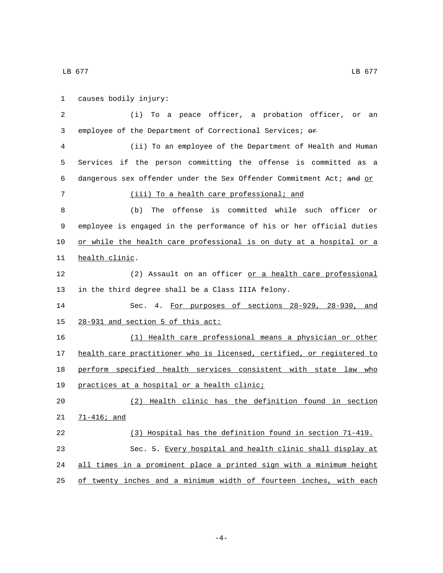causes bodily injury:1 2 (i) To a peace officer, a probation officer, or an 3 employee of the Department of Correctional Services; or 4 (ii) To an employee of the Department of Health and Human 5 Services if the person committing the offense is committed as a 6 dangerous sex offender under the Sex Offender Commitment Act; and or 7 (iii) To a health care professional; and 8 (b) The offense is committed while such officer or 9 employee is engaged in the performance of his or her official duties 10 or while the health care professional is on duty at a hospital or a 11 health clinic. 12 (2) Assault on an officer or a health care professional 13 in the third degree shall be a Class IIIA felony. 14 Sec. 4. For purposes of sections 28-929, 28-930, and 15 28-931 and section 5 of this act: 16 (1) Health care professional means a physician or other 17 health care practitioner who is licensed, certified, or registered to 18 perform specified health services consistent with state law who 19 practices at a hospital or a health clinic; 20 (2) Health clinic has the definition found in section 21 71-416; and 22 (3) Hospital has the definition found in section 71-419. 23 Sec. 5. Every hospital and health clinic shall display at 24 all times in a prominent place a printed sign with a minimum height

25 of twenty inches and a minimum width of fourteen inches, with each

 $\,$  LB 677  $\,$  LB 677  $\,$